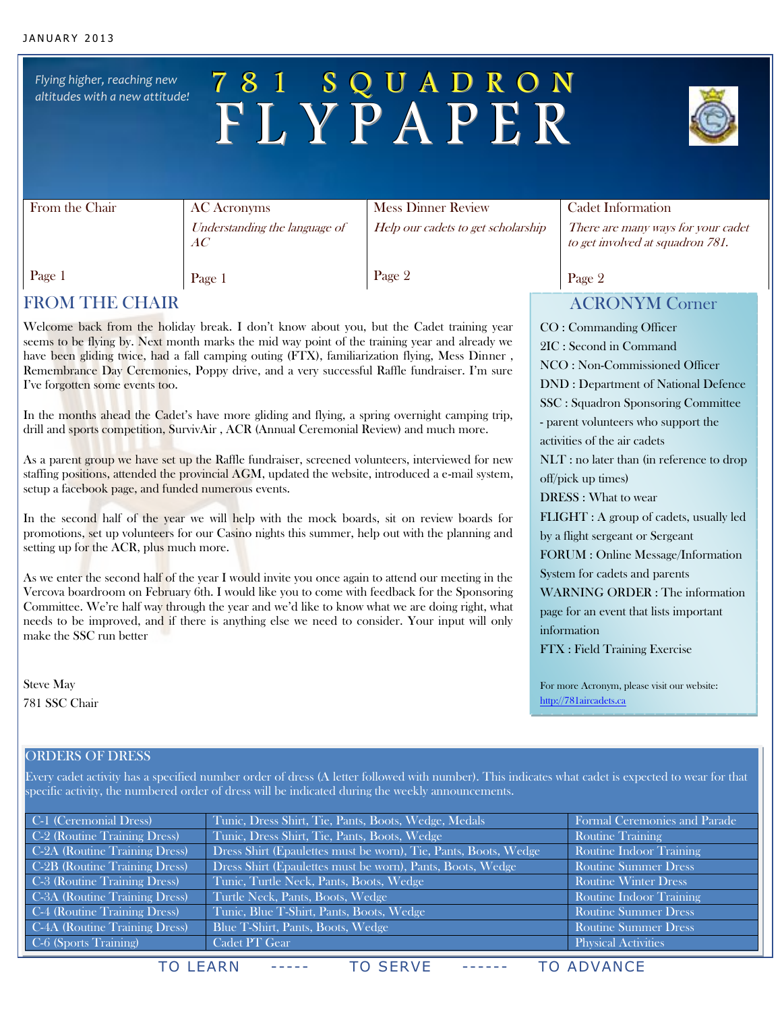*Flying higher, reaching new altitudes with a new attitude!*

# 7 8 1 S Q U A D R O N F L Y P A P E R



### From the Chair

Page 1

AC Acronyms Understanding the language of AC Page 1

Page 2

Mess Dinner Review

Help our cadets to get scholarship

## FROM THE CHAIR

Welcome back from the holiday break. I don't know about you, but the Cadet training year seems to be flying by. Next month marks the mid way point of the training year and already we have been gliding twice, had a fall camping outing (FTX), familiarization flying, Mess Dinner , Remembrance Day Ceremonies, Poppy drive, and a very successful Raffle fundraiser. I'm sure I've forgotten some events too.

In the months ahead the Cadet's have more gliding and flying, a spring overnight camping trip, drill and sports competition, SurvivAir , ACR (Annual Ceremonial Review) and much more.

As a parent group we have set up the Raffle fundraiser, screened volunteers, interviewed for new staffing positions, attended the provincial AGM, updated the website, introduced a e-mail system, setup a facebook page, and funded numerous events.

In the second half of the year we will help with the mock boards, sit on review boards for promotions, set up volunteers for our Casino nights this summer, help out with the planning and setting up for the ACR, plus much more.

As we enter the second half of the year I would invite you once again to attend our meeting in the Vercova boardroom on February 6th. I would like you to come with feedback for the Sponsoring Committee. We're half way through the year and we'd like to know what we are doing right, what needs to be improved, and if there is anything else we need to consider. Your input will only make the SSC run better

Steve May 781 SSC Chair

ACRONYM Corner CO : Commanding Officer 2IC : Second in Command NCO : Non-Commissioned Officer DND : Department of National Defence SSC : Squadron Sponsoring Committee - parent volunteers who support the activities of the air cadets NLT : no later than (in reference to drop off/pick up times) DRESS : What to wear FLIGHT : A group of cadets, usually led by a flight sergeant or Sergeant FORUM : Online Message/Information System for cadets and parents WARNING ORDER : The information page for an event that lists important information FTX : Field Training Exercise

Cadet Information

Page 2

There are many ways for your cadet to get involved at squadron 781.

For more Acronym, please visit our website: [http://781aircadets.ca](http://781aircadets.ca/)

#### ORDERS OF DRESS

Every cadet activity has a specified number order of dress (A letter followed with number). This indicates what cadet is expected to wear for that specific activity, the numbered order of dress will be indicated during the weekly announcements.

| C-1 (Ceremonial Dress)        | Tunic, Dress Shirt, Tie, Pants, Boots, Wedge, Medals            | Formal Ceremonies and Parade |
|-------------------------------|-----------------------------------------------------------------|------------------------------|
| C-2 (Routine Training Dress)  | Tunic, Dress Shirt, Tie, Pants, Boots, Wedge                    | <b>Routine Training</b>      |
| C-2A (Routine Training Dress) | Dress Shirt (Epaulettes must be worn), Tie, Pants, Boots, Wedge | Routine Indoor Training      |
| C-2B (Routine Training Dress) | Dress Shirt (Epaulettes must be worn), Pants, Boots, Wedge      | <b>Routine Summer Dress</b>  |
| C-3 (Routine Training Dress)  | Tunic, Turtle Neck, Pants, Boots, Wedge                         | <b>Routine Winter Dress</b>  |
| C-3A (Routine Training Dress) | Turtle Neck, Pants, Boots, Wedge                                | Routine Indoor Training      |
| C-4 (Routine Training Dress)  | Tunic, Blue T-Shirt, Pants, Boots, Wedge                        | <b>Routine Summer Dress</b>  |
| C-4A (Routine Training Dress) | Blue T-Shirt, Pants, Boots, Wedge                               | <b>Routine Summer Dress</b>  |
| $C-6$ (Sports Training)       | Cadet PT Gear                                                   | <b>Physical Activities</b>   |
|                               |                                                                 |                              |

TO LEARN ----- TO SERVE ------ TO ADVANCE